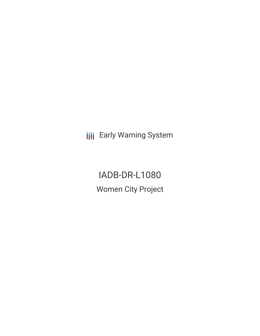**III** Early Warning System

IADB-DR-L1080 Women City Project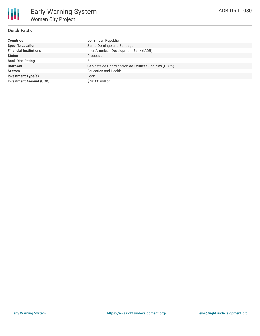# IADB-DR-L1080

# **Quick Facts**

| <b>Countries</b>               | Dominican Republic                                    |
|--------------------------------|-------------------------------------------------------|
| <b>Specific Location</b>       | Santo Domingo and Santiago                            |
| <b>Financial Institutions</b>  | Inter-American Development Bank (IADB)                |
| <b>Status</b>                  | Proposed                                              |
| <b>Bank Risk Rating</b>        | B                                                     |
| <b>Borrower</b>                | Gabinete de Coordinación de Políticas Sociales (GCPS) |
| <b>Sectors</b>                 | <b>Education and Health</b>                           |
| <b>Investment Type(s)</b>      | Loan                                                  |
| <b>Investment Amount (USD)</b> | \$20.00 million                                       |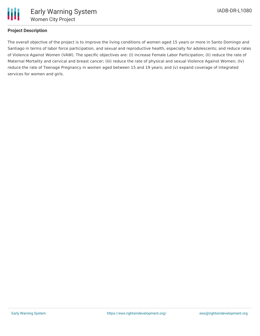

## **Project Description**

The overall objective of the project is to improve the living conditions of women aged 15 years or more in Santo Domingo and Santiago in terms of labor force participation, and sexual and reproductive health, especially for adolescents; and reduce rates of Violence Against Women (VAW). The specific objectives are: (I) increase Female Labor Participation; (Ii) reduce the rate of Maternal Mortality and cervical and breast cancer; (Iii) reduce the rate of physical and sexual Violence Against Women; (Iv) reduce the rate of Teenage Pregnancy in women aged between 15 and 19 years; and (v) expand coverage of integrated services for women and girls.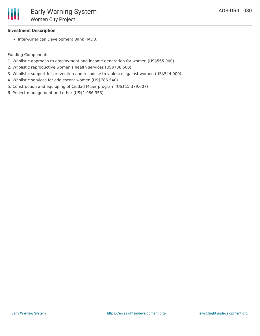

#### **Investment Description**

• Inter-American Development Bank (IADB)

Funding Components:

- 1. Wholistic approach to employment and income generation for women (US\$565.000).
- 2. Wholistic reproductive women's health services (US\$738.500).
- 3. Wholistic support for prevention and response to violence against women (US\$544.000).
- 4. Wholistic services for adolescent women (US\$786.540)
- 5. Construction and equipping of Ciudad Mujer program (US\$15.379.607)
- 6. Project management and other (US\$1.986.353).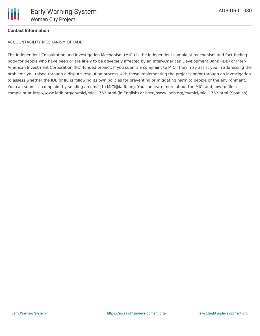## **Contact Information**

ACCOUNTABILITY MECHANISM OF IADB

The Independent Consultation and Investigation Mechanism (MICI) is the independent complaint mechanism and fact-finding body for people who have been or are likely to be adversely affected by an Inter-American Development Bank (IDB) or Inter-American Investment Corporation (IIC)-funded project. If you submit a complaint to MICI, they may assist you in addressing the problems you raised through a dispute-resolution process with those implementing the project and/or through an investigation to assess whether the IDB or IIC is following its own policies for preventing or mitigating harm to people or the environment. You can submit a complaint by sending an email to MICI@iadb.org. You can learn more about the MICI and how to file a complaint at http://www.iadb.org/en/mici/mici,1752.html (in English) or http://www.iadb.org/es/mici/mici,1752.html (Spanish).